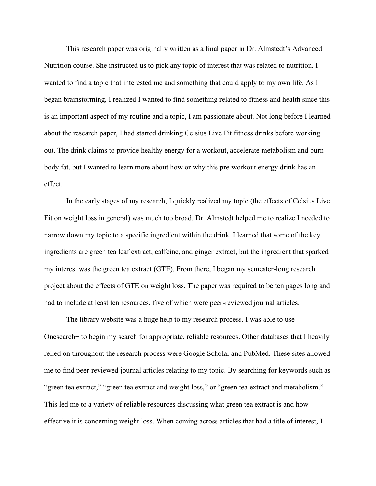This research paper was originally written as a final paper in Dr. Almstedt's Advanced Nutrition course. She instructed us to pick any topic of interest that was related to nutrition. I wanted to find a topic that interested me and something that could apply to my own life. As I began brainstorming, I realized I wanted to find something related to fitness and health since this is an important aspect of my routine and a topic, I am passionate about. Not long before I learned about the research paper, I had started drinking Celsius Live Fit fitness drinks before working out. The drink claims to provide healthy energy for a workout, accelerate metabolism and burn body fat, but I wanted to learn more about how or why this pre-workout energy drink has an effect.

In the early stages of my research, I quickly realized my topic (the effects of Celsius Live Fit on weight loss in general) was much too broad. Dr. Almstedt helped me to realize I needed to narrow down my topic to a specific ingredient within the drink. I learned that some of the key ingredients are green tea leaf extract, caffeine, and ginger extract, but the ingredient that sparked my interest was the green tea extract (GTE). From there, I began my semester-long research project about the effects of GTE on weight loss. The paper was required to be ten pages long and had to include at least ten resources, five of which were peer-reviewed journal articles.

The library website was a huge help to my research process. I was able to use Onesearch+ to begin my search for appropriate, reliable resources. Other databases that I heavily relied on throughout the research process were Google Scholar and PubMed. These sites allowed me to find peer-reviewed journal articles relating to my topic. By searching for keywords such as "green tea extract," "green tea extract and weight loss," or "green tea extract and metabolism." This led me to a variety of reliable resources discussing what green tea extract is and how effective it is concerning weight loss. When coming across articles that had a title of interest, I